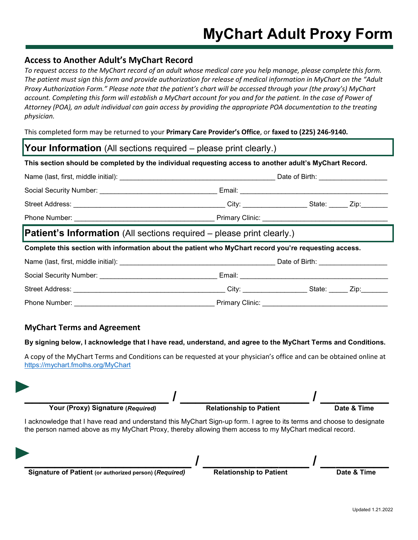## **Access to Another Adult's MyChart Record**

*To request access to the MyChart record of an adult whose medical care you help manage, please complete this form. The patient must sign this form and provide authorization for release of medical information in MyChart on the "Adult Proxy Authorization Form." Please note that the patient's chart will be accessed through your (the proxy's) MyChart account. Completing this form will establish a MyChart account for you and for the patient. In the case of Power of Attorney (POA), an adult individual can gain access by providing the appropriate POA documentation to the treating physician.*

This completed form may be returned to your **Primary Care Provider's Office**, or **faxed to (225) 246-9140.**

| <b>Your Information</b> (All sections required – please print clearly.)                                 |  |  |  |  |  |  |
|---------------------------------------------------------------------------------------------------------|--|--|--|--|--|--|
| This section should be completed by the individual requesting access to another adult's MyChart Record. |  |  |  |  |  |  |
|                                                                                                         |  |  |  |  |  |  |
|                                                                                                         |  |  |  |  |  |  |
|                                                                                                         |  |  |  |  |  |  |
|                                                                                                         |  |  |  |  |  |  |
| <b>Patient's Information</b> (All sections required – please print clearly.)                            |  |  |  |  |  |  |
| Complete this section with information about the patient who MyChart record you're requesting access.   |  |  |  |  |  |  |
|                                                                                                         |  |  |  |  |  |  |
|                                                                                                         |  |  |  |  |  |  |
|                                                                                                         |  |  |  |  |  |  |
|                                                                                                         |  |  |  |  |  |  |

## **MyChart Terms and Agreement**

## **By signing below, I acknowledge that I have read, understand, and agree to the MyChart Terms and Conditions.**

A copy of the MyChart Terms and Conditions can be requested at your physician's office and can be obtained online at <https://mychart.fmolhs.org/MyChart>



**\_\_\_\_\_\_\_\_\_\_\_\_\_\_\_\_\_\_\_\_\_\_ / \_\_\_\_\_\_\_\_\_\_\_\_\_\_ / \_\_\_\_\_\_\_\_\_ Signature of Patient (or authorized person) (***Required)* **Relationship to Patient Date & Time**

| <b>Relationship to Patient</b> |  |
|--------------------------------|--|